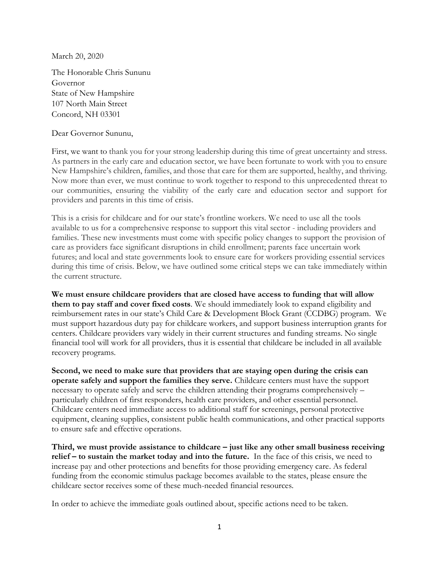March 20, 2020

The Honorable Chris Sununu Governor State of New Hampshire 107 North Main Street Concord, NH 03301

Dear Governor Sununu,

First, we want to thank you for your strong leadership during this time of great uncertainty and stress. As partners in the early care and education sector, we have been fortunate to work with you to ensure New Hampshire's children, families, and those that care for them are supported, healthy, and thriving. Now more than ever, we must continue to work together to respond to this unprecedented threat to our communities, ensuring the viability of the early care and education sector and support for providers and parents in this time of crisis.

This is a crisis for childcare and for our state's frontline workers. We need to use all the tools available to us for a comprehensive response to support this vital sector - including providers and families. These new investments must come with specific policy changes to support the provision of care as providers face significant disruptions in child enrollment; parents face uncertain work futures; and local and state governments look to ensure care for workers providing essential services during this time of crisis. Below, we have outlined some critical steps we can take immediately within the current structure.

**We must ensure childcare providers that are closed have access to funding that will allow them to pay staff and cover fixed costs**. We should immediately look to expand eligibility and reimbursement rates in our state's Child Care & Development Block Grant (CCDBG) program. We must support hazardous duty pay for childcare workers, and support business interruption grants for centers. Childcare providers vary widely in their current structures and funding streams. No single financial tool will work for all providers, thus it is essential that childcare be included in all available recovery programs.

**Second, we need to make sure that providers that are staying open during the crisis can operate safely and support the families they serve.** Childcare centers must have the support necessary to operate safely and serve the children attending their programs comprehensively – particularly children of first responders, health care providers, and other essential personnel. Childcare centers need immediate access to additional staff for screenings, personal protective equipment, cleaning supplies, consistent public health communications, and other practical supports to ensure safe and effective operations.

**Third, we must provide assistance to childcare – just like any other small business receiving relief – to sustain the market today and into the future.** In the face of this crisis, we need to increase pay and other protections and benefits for those providing emergency care. As federal funding from the economic stimulus package becomes available to the states, please ensure the childcare sector receives some of these much-needed financial resources.

In order to achieve the immediate goals outlined about, specific actions need to be taken.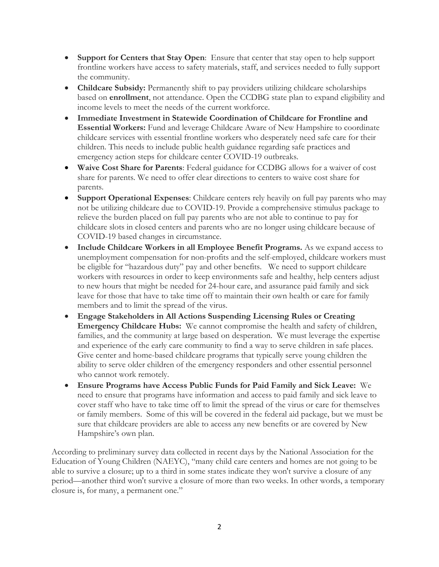- **Support for Centers that Stay Open**: Ensure that center that stay open to help support frontline workers have access to safety materials, staff, and services needed to fully support the community.
- **Childcare Subsidy:** Permanently shift to pay providers utilizing childcare scholarships based on **enrollment**, not attendance. Open the CCDBG state plan to expand eligibility and income levels to meet the needs of the current workforce.
- **Immediate Investment in Statewide Coordination of Childcare for Frontline and Essential Workers:** Fund and leverage Childcare Aware of New Hampshire to coordinate childcare services with essential frontline workers who desperately need safe care for their children. This needs to include public health guidance regarding safe practices and emergency action steps for childcare center COVID-19 outbreaks.
- **Waive Cost Share for Parents**: Federal guidance for CCDBG allows for a waiver of cost share for parents. We need to offer clear directions to centers to waive cost share for parents.
- **Support Operational Expenses**: Childcare centers rely heavily on full pay parents who may not be utilizing childcare due to COVID-19. Provide a comprehensive stimulus package to relieve the burden placed on full pay parents who are not able to continue to pay for childcare slots in closed centers and parents who are no longer using childcare because of COVID-19 based changes in circumstance.
- **Include Childcare Workers in all Employee Benefit Programs.** As we expand access to unemployment compensation for non-profits and the self-employed, childcare workers must be eligible for "hazardous duty" pay and other benefits. We need to support childcare workers with resources in order to keep environments safe and healthy, help centers adjust to new hours that might be needed for 24-hour care, and assurance paid family and sick leave for those that have to take time off to maintain their own health or care for family members and to limit the spread of the virus.
- **Engage Stakeholders in All Actions Suspending Licensing Rules or Creating Emergency Childcare Hubs:** We cannot compromise the health and safety of children, families, and the community at large based on desperation. We must leverage the expertise and experience of the early care community to find a way to serve children in safe places. Give center and home-based childcare programs that typically serve young children the ability to serve older children of the emergency responders and other essential personnel who cannot work remotely.
- **Ensure Programs have Access Public Funds for Paid Family and Sick Leave:** We need to ensure that programs have information and access to paid family and sick leave to cover staff who have to take time off to limit the spread of the virus or care for themselves or family members. Some of this will be covered in the federal aid package, but we must be sure that childcare providers are able to access any new benefits or are covered by New Hampshire's own plan.

According to preliminary survey data collected in recent days by the National Association for the Education of Young Children (NAEYC), "many child care centers and homes are not going to be able to survive a closure; up to a third in some states indicate they won't survive a closure of any period—another third won't survive a closure of more than two weeks. In other words, a temporary closure is, for many, a permanent one."